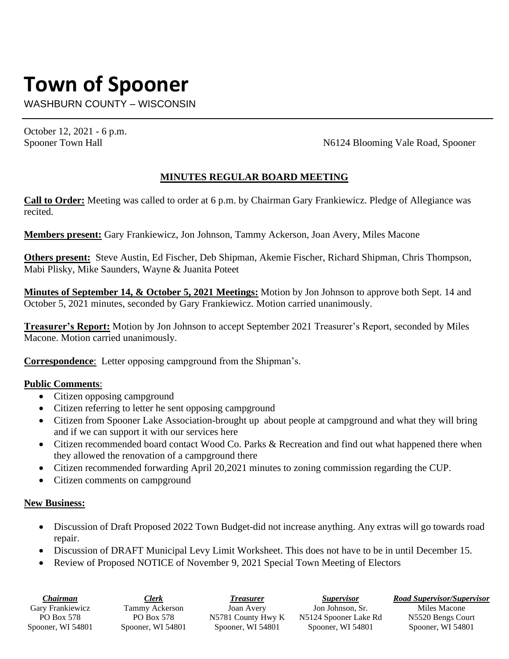# **Town of Spooner**

WASHBURN COUNTY – WISCONSIN

October 12, 2021 - 6 p.m.

Spooner Town Hall N6124 Blooming Vale Road, Spooner

## **MINUTES REGULAR BOARD MEETING**

**Call to Order:** Meeting was called to order at 6 p.m. by Chairman Gary Frankiewicz. Pledge of Allegiance was recited.

**Members present:** Gary Frankiewicz, Jon Johnson, Tammy Ackerson, Joan Avery, Miles Macone

**Others present:** Steve Austin, Ed Fischer, Deb Shipman, Akemie Fischer, Richard Shipman, Chris Thompson, Mabi Plisky, Mike Saunders, Wayne & Juanita Poteet

**Minutes of September 14, & October 5, 2021 Meetings:** Motion by Jon Johnson to approve both Sept. 14 and October 5, 2021 minutes, seconded by Gary Frankiewicz. Motion carried unanimously.

**Treasurer's Report:** Motion by Jon Johnson to accept September 2021 Treasurer's Report, seconded by Miles Macone. Motion carried unanimously.

**Correspondence**: Letter opposing campground from the Shipman's.

## **Public Comments**:

- Citizen opposing campground
- Citizen referring to letter he sent opposing campground
- Citizen from Spooner Lake Association-brought up about people at campground and what they will bring and if we can support it with our services here
- Citizen recommended board contact Wood Co. Parks & Recreation and find out what happened there when they allowed the renovation of a campground there
- Citizen recommended forwarding April 20,2021 minutes to zoning commission regarding the CUP.
- Citizen comments on campground

#### **New Business:**

- Discussion of Draft Proposed 2022 Town Budget-did not increase anything. Any extras will go towards road repair.
- Discussion of DRAFT Municipal Levy Limit Worksheet. This does not have to be in until December 15.
- Review of Proposed NOTICE of November 9, 2021 Special Town Meeting of Electors

| Chairman          | Clerk             | Treasurer          | <i>Supervisor</i>     | <b>Road Supervisor/Supervisor</b> |
|-------------------|-------------------|--------------------|-----------------------|-----------------------------------|
| Gary Frankiewicz  | Tammy Ackerson    | Joan Avery         | Jon Johnson, Sr.      | Miles Macone                      |
| <b>PO Box 578</b> | PO Box 578        | N5781 County Hwy K | N5124 Spooner Lake Rd | N5520 Bengs Court                 |
| Spooner, WI 54801 | Spooner, WI 54801 | Spooner, WI 54801  | Spooner, WI 54801     | Spooner, WI 54801                 |